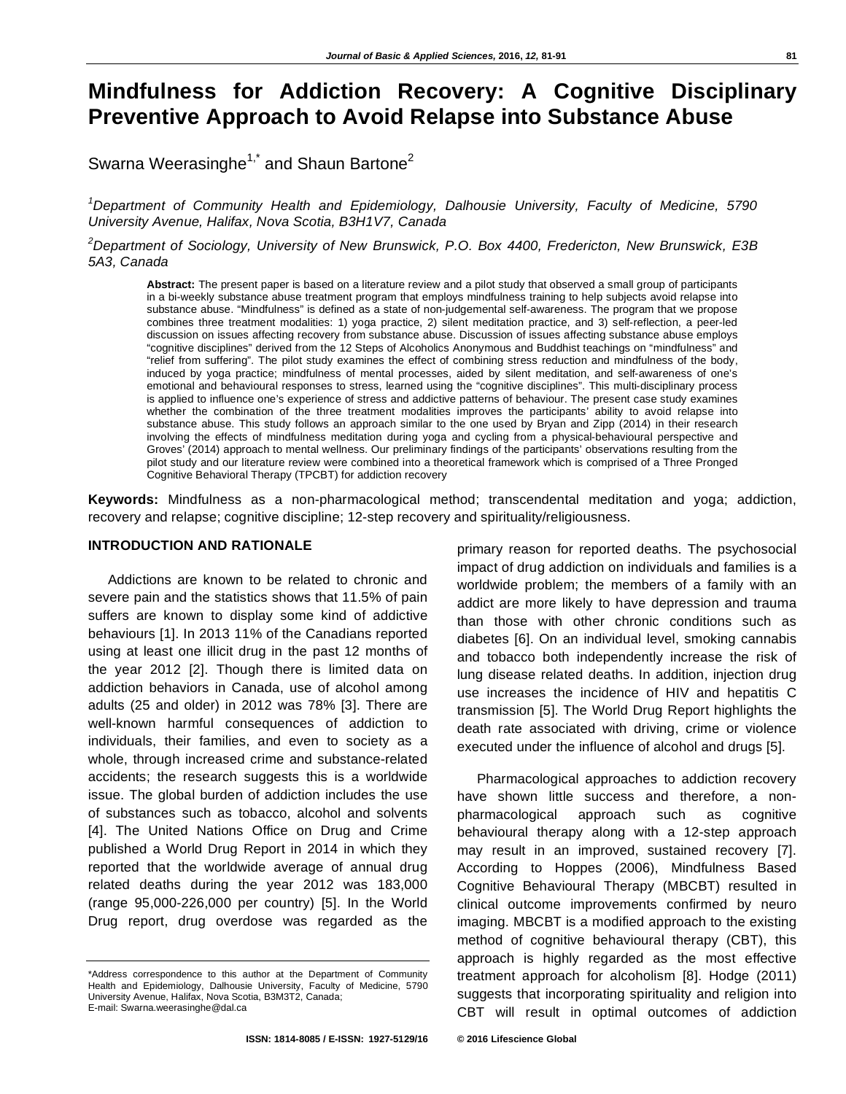# **Mindfulness for Addiction Recovery: A Cognitive Disciplinary Preventive Approach to Avoid Relapse into Substance Abuse**

Swarna Weerasinghe<sup>1,\*</sup> and Shaun Bartone<sup>2</sup>

*1 Department of Community Health and Epidemiology, Dalhousie University, Faculty of Medicine, 5790 University Avenue, Halifax, Nova Scotia, B3H1V7, Canada* 

*2 Department of Sociology, University of New Brunswick, P.O. Box 4400, Fredericton, New Brunswick, E3B 5A3, Canada* 

**Abstract:** The present paper is based on a literature review and a pilot study that observed a small group of participants in a bi-weekly substance abuse treatment program that employs mindfulness training to help subjects avoid relapse into substance abuse. "Mindfulness" is defined as a state of non-judgemental self-awareness. The program that we propose combines three treatment modalities: 1) yoga practice, 2) silent meditation practice, and 3) self-reflection, a peer-led discussion on issues affecting recovery from substance abuse. Discussion of issues affecting substance abuse employs "cognitive disciplines" derived from the 12 Steps of Alcoholics Anonymous and Buddhist teachings on "mindfulness" and "relief from suffering". The pilot study examines the effect of combining stress reduction and mindfulness of the body, induced by yoga practice; mindfulness of mental processes, aided by silent meditation, and self-awareness of one's emotional and behavioural responses to stress, learned using the "cognitive disciplines". This multi-disciplinary process is applied to influence one's experience of stress and addictive patterns of behaviour. The present case study examines whether the combination of the three treatment modalities improves the participants' ability to avoid relapse into substance abuse. This study follows an approach similar to the one used by Bryan and Zipp (2014) in their research involving the effects of mindfulness meditation during yoga and cycling from a physical-behavioural perspective and Groves' (2014) approach to mental wellness. Our preliminary findings of the participants' observations resulting from the pilot study and our literature review were combined into a theoretical framework which is comprised of a Three Pronged Cognitive Behavioral Therapy (TPCBT) for addiction recovery

**Keywords:** Mindfulness as a non-pharmacological method; transcendental meditation and yoga; addiction, recovery and relapse; cognitive discipline; 12-step recovery and spirituality/religiousness.

#### **INTRODUCTION AND RATIONALE**

Addictions are known to be related to chronic and severe pain and the statistics shows that 11.5% of pain suffers are known to display some kind of addictive behaviours [1]. In 2013 11% of the Canadians reported using at least one illicit drug in the past 12 months of the year 2012 [2]. Though there is limited data on addiction behaviors in Canada, use of alcohol among adults (25 and older) in 2012 was 78% [3]. There are well-known harmful consequences of addiction to individuals, their families, and even to society as a whole, through increased crime and substance-related accidents; the research suggests this is a worldwide issue. The global burden of addiction includes the use of substances such as tobacco, alcohol and solvents [4]. The United Nations Office on Drug and Crime published a World Drug Report in 2014 in which they reported that the worldwide average of annual drug related deaths during the year 2012 was 183,000 (range 95,000-226,000 per country) [5]. In the World Drug report, drug overdose was regarded as the

\*Address correspondence to this author at the Department of Community Health and Epidemiology, Dalhousie University, Faculty of Medicine, 5790 University Avenue, Halifax, Nova Scotia, B3M3T2, Canada; E-mail: Swarna.weerasinghe@dal.ca

primary reason for reported deaths. The psychosocial impact of drug addiction on individuals and families is a worldwide problem; the members of a family with an addict are more likely to have depression and trauma than those with other chronic conditions such as diabetes [6]. On an individual level, smoking cannabis and tobacco both independently increase the risk of lung disease related deaths. In addition, injection drug use increases the incidence of HIV and hepatitis C transmission [5]. The World Drug Report highlights the death rate associated with driving, crime or violence executed under the influence of alcohol and drugs [5].

Pharmacological approaches to addiction recovery have shown little success and therefore, a nonpharmacological approach such as cognitive behavioural therapy along with a 12-step approach may result in an improved, sustained recovery [7]. According to Hoppes (2006), Mindfulness Based Cognitive Behavioural Therapy (MBCBT) resulted in clinical outcome improvements confirmed by neuro imaging. MBCBT is a modified approach to the existing method of cognitive behavioural therapy (CBT), this approach is highly regarded as the most effective treatment approach for alcoholism [8]. Hodge (2011) suggests that incorporating spirituality and religion into CBT will result in optimal outcomes of addiction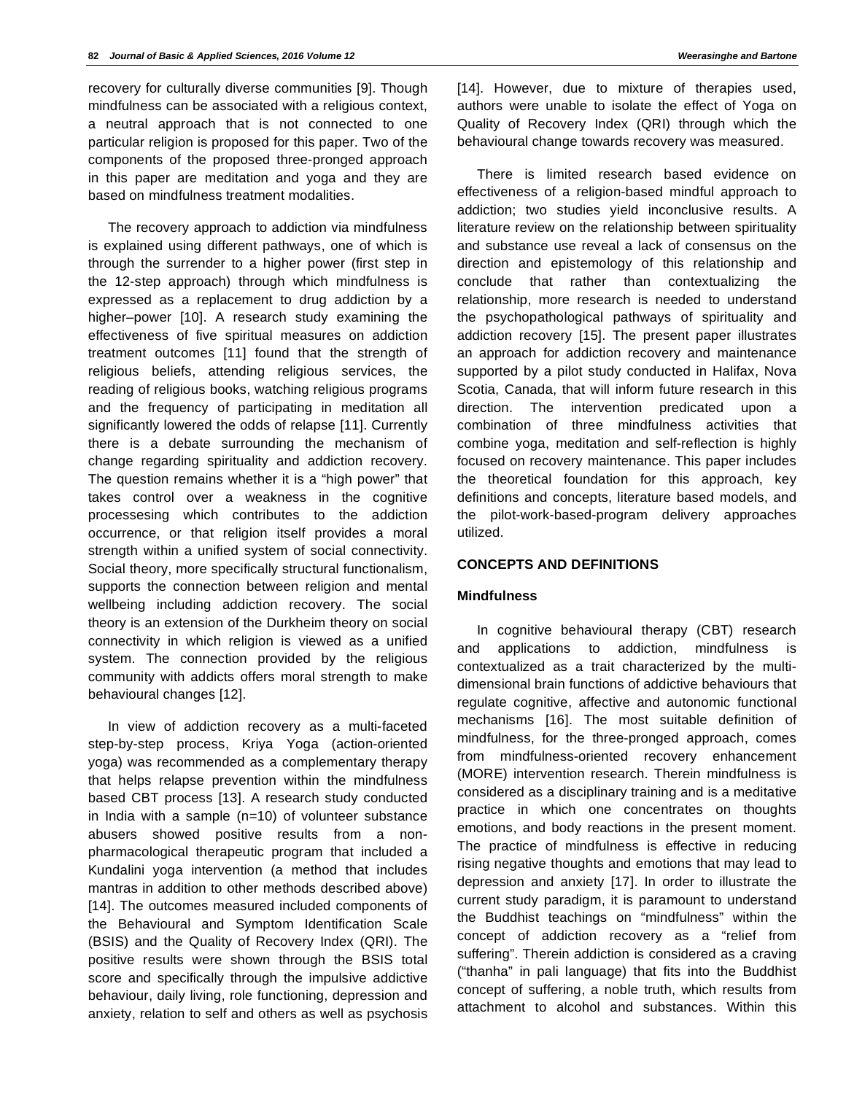recovery for culturally diverse communities [9]. Though mindfulness can be associated with a religious context, a neutral approach that is not connected to one particular religion is proposed for this paper. Two of the components of the proposed three-pronged approach in this paper are meditation and yoga and they are based on mindfulness treatment modalities.

The recovery approach to addiction via mindfulness is explained using different pathways, one of which is through the surrender to a higher power (first step in the 12-step approach) through which mindfulness is expressed as a replacement to drug addiction by a higher–power [10]. A research study examining the effectiveness of five spiritual measures on addiction treatment outcomes [11] found that the strength of religious beliefs, attending religious services, the reading of religious books, watching religious programs and the frequency of participating in meditation all significantly lowered the odds of relapse [11]. Currently there is a debate surrounding the mechanism of change regarding spirituality and addiction recovery. The question remains whether it is a "high power" that takes control over a weakness in the cognitive processesing which contributes to the addiction occurrence, or that religion itself provides a moral strength within a unified system of social connectivity. Social theory, more specifically structural functionalism, supports the connection between religion and mental wellbeing including addiction recovery. The social theory is an extension of the Durkheim theory on social connectivity in which religion is viewed as a unified system. The connection provided by the religious community with addicts offers moral strength to make behavioural changes [12].

In view of addiction recovery as a multi-faceted step-by-step process, Kriya Yoga (action-oriented yoga) was recommended as a complementary therapy that helps relapse prevention within the mindfulness based CBT process [13]. A research study conducted in India with a sample (n=10) of volunteer substance abusers showed positive results from a nonpharmacological therapeutic program that included a Kundalini yoga intervention (a method that includes mantras in addition to other methods described above) [14]. The outcomes measured included components of the Behavioural and Symptom Identification Scale (BSIS) and the Quality of Recovery Index (QRI). The positive results were shown through the BSIS total score and specifically through the impulsive addictive behaviour, daily living, role functioning, depression and anxiety, relation to self and others as well as psychosis

[14]. However, due to mixture of therapies used, authors were unable to isolate the effect of Yoga on Quality of Recovery Index (QRI) through which the behavioural change towards recovery was measured.

There is limited research based evidence on effectiveness of a religion-based mindful approach to addiction; two studies yield inconclusive results. A literature review on the relationship between spirituality and substance use reveal a lack of consensus on the direction and epistemology of this relationship and conclude that rather than contextualizing the relationship, more research is needed to understand the psychopathological pathways of spirituality and addiction recovery [15]. The present paper illustrates an approach for addiction recovery and maintenance supported by a pilot study conducted in Halifax, Nova Scotia, Canada, that will inform future research in this direction. The intervention predicated upon a combination of three mindfulness activities that combine yoga, meditation and self-reflection is highly focused on recovery maintenance. This paper includes the theoretical foundation for this approach, key definitions and concepts, literature based models, and the pilot-work-based-program delivery approaches utilized.

# **CONCEPTS AND DEFINITIONS**

## **Mindfulness**

In cognitive behavioural therapy (CBT) research and applications to addiction, mindfulness is contextualized as a trait characterized by the multidimensional brain functions of addictive behaviours that regulate cognitive, affective and autonomic functional mechanisms [16]. The most suitable definition of mindfulness, for the three-pronged approach, comes from mindfulness-oriented recovery enhancement (MORE) intervention research. Therein mindfulness is considered as a disciplinary training and is a meditative practice in which one concentrates on thoughts emotions, and body reactions in the present moment. The practice of mindfulness is effective in reducing rising negative thoughts and emotions that may lead to depression and anxiety [17]. In order to illustrate the current study paradigm, it is paramount to understand the Buddhist teachings on "mindfulness" within the concept of addiction recovery as a "relief from suffering". Therein addiction is considered as a craving ("thanha" in pali language) that fits into the Buddhist concept of suffering, a noble truth, which results from attachment to alcohol and substances. Within this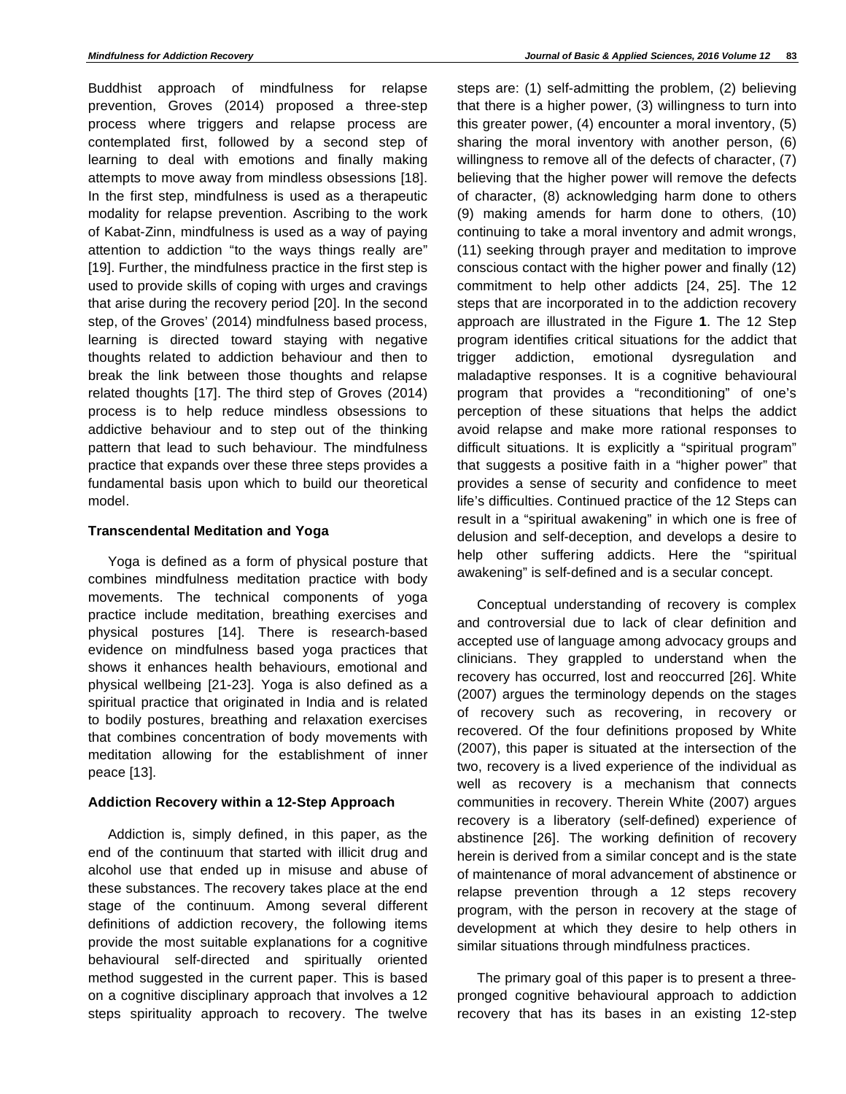Buddhist approach of mindfulness for relapse prevention, Groves (2014) proposed a three-step process where triggers and relapse process are contemplated first, followed by a second step of learning to deal with emotions and finally making attempts to move away from mindless obsessions [18]. In the first step, mindfulness is used as a therapeutic modality for relapse prevention. Ascribing to the work of Kabat-Zinn, mindfulness is used as a way of paying attention to addiction "to the ways things really are" [19]. Further, the mindfulness practice in the first step is used to provide skills of coping with urges and cravings that arise during the recovery period [20]. In the second step, of the Groves' (2014) mindfulness based process, learning is directed toward staying with negative thoughts related to addiction behaviour and then to break the link between those thoughts and relapse related thoughts [17]. The third step of Groves (2014) process is to help reduce mindless obsessions to addictive behaviour and to step out of the thinking pattern that lead to such behaviour. The mindfulness practice that expands over these three steps provides a fundamental basis upon which to build our theoretical model.

## **Transcendental Meditation and Yoga**

Yoga is defined as a form of physical posture that combines mindfulness meditation practice with body movements. The technical components of yoga practice include meditation, breathing exercises and physical postures [14]. There is research-based evidence on mindfulness based yoga practices that shows it enhances health behaviours, emotional and physical wellbeing [21-23]. Yoga is also defined as a spiritual practice that originated in India and is related to bodily postures, breathing and relaxation exercises that combines concentration of body movements with meditation allowing for the establishment of inner peace [13].

## **Addiction Recovery within a 12-Step Approach**

Addiction is, simply defined, in this paper, as the end of the continuum that started with illicit drug and alcohol use that ended up in misuse and abuse of these substances. The recovery takes place at the end stage of the continuum. Among several different definitions of addiction recovery, the following items provide the most suitable explanations for a cognitive behavioural self-directed and spiritually oriented method suggested in the current paper. This is based on a cognitive disciplinary approach that involves a 12 steps spirituality approach to recovery. The twelve

steps are: (1) self-admitting the problem, (2) believing that there is a higher power, (3) willingness to turn into this greater power, (4) encounter a moral inventory, (5) sharing the moral inventory with another person, (6) willingness to remove all of the defects of character, (7) believing that the higher power will remove the defects of character, (8) acknowledging harm done to others (9) making amends for harm done to others, (10) continuing to take a moral inventory and admit wrongs, (11) seeking through prayer and meditation to improve conscious contact with the higher power and finally (12) commitment to help other addicts [24, 25]. The 12 steps that are incorporated in to the addiction recovery approach are illustrated in the Figure **1**. The 12 Step program identifies critical situations for the addict that trigger addiction, emotional dysregulation and maladaptive responses. It is a cognitive behavioural program that provides a "reconditioning" of one's perception of these situations that helps the addict avoid relapse and make more rational responses to difficult situations. It is explicitly a "spiritual program" that suggests a positive faith in a "higher power" that provides a sense of security and confidence to meet life's difficulties. Continued practice of the 12 Steps can result in a "spiritual awakening" in which one is free of delusion and self-deception, and develops a desire to help other suffering addicts. Here the "spiritual awakening" is self-defined and is a secular concept.

Conceptual understanding of recovery is complex and controversial due to lack of clear definition and accepted use of language among advocacy groups and clinicians. They grappled to understand when the recovery has occurred, lost and reoccurred [26]. White (2007) argues the terminology depends on the stages of recovery such as recovering, in recovery or recovered. Of the four definitions proposed by White (2007), this paper is situated at the intersection of the two, recovery is a lived experience of the individual as well as recovery is a mechanism that connects communities in recovery. Therein White (2007) argues recovery is a liberatory (self-defined) experience of abstinence [26]. The working definition of recovery herein is derived from a similar concept and is the state of maintenance of moral advancement of abstinence or relapse prevention through a 12 steps recovery program, with the person in recovery at the stage of development at which they desire to help others in similar situations through mindfulness practices.

The primary goal of this paper is to present a threepronged cognitive behavioural approach to addiction recovery that has its bases in an existing 12-step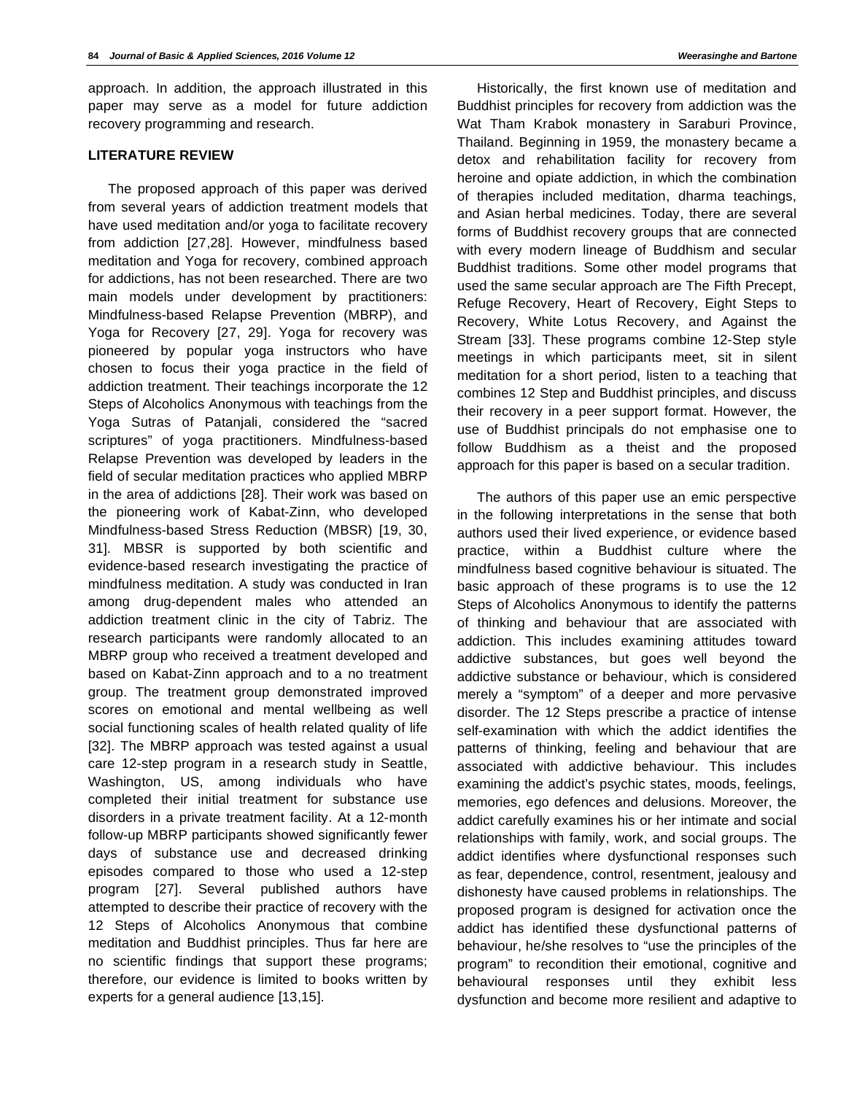approach. In addition, the approach illustrated in this paper may serve as a model for future addiction recovery programming and research.

## **LITERATURE REVIEW**

The proposed approach of this paper was derived from several years of addiction treatment models that have used meditation and/or yoga to facilitate recovery from addiction [27,28]. However, mindfulness based meditation and Yoga for recovery, combined approach for addictions, has not been researched. There are two main models under development by practitioners: Mindfulness-based Relapse Prevention (MBRP), and Yoga for Recovery [27, 29]. Yoga for recovery was pioneered by popular yoga instructors who have chosen to focus their yoga practice in the field of addiction treatment. Their teachings incorporate the 12 Steps of Alcoholics Anonymous with teachings from the Yoga Sutras of Patanjali, considered the "sacred scriptures" of yoga practitioners. Mindfulness-based Relapse Prevention was developed by leaders in the field of secular meditation practices who applied MBRP in the area of addictions [28]. Their work was based on the pioneering work of Kabat-Zinn, who developed Mindfulness-based Stress Reduction (MBSR) [19, 30, 31]. MBSR is supported by both scientific and evidence-based research investigating the practice of mindfulness meditation. A study was conducted in Iran among drug-dependent males who attended an addiction treatment clinic in the city of Tabriz. The research participants were randomly allocated to an MBRP group who received a treatment developed and based on Kabat-Zinn approach and to a no treatment group. The treatment group demonstrated improved scores on emotional and mental wellbeing as well social functioning scales of health related quality of life [32]. The MBRP approach was tested against a usual care 12-step program in a research study in Seattle, Washington, US, among individuals who have completed their initial treatment for substance use disorders in a private treatment facility. At a 12-month follow-up MBRP participants showed significantly fewer days of substance use and decreased drinking episodes compared to those who used a 12-step program [27]. Several published authors have attempted to describe their practice of recovery with the 12 Steps of Alcoholics Anonymous that combine meditation and Buddhist principles. Thus far here are no scientific findings that support these programs; therefore, our evidence is limited to books written by experts for a general audience [13,15].

Historically, the first known use of meditation and Buddhist principles for recovery from addiction was the Wat Tham Krabok monastery in Saraburi Province, Thailand. Beginning in 1959, the monastery became a detox and rehabilitation facility for recovery from heroine and opiate addiction, in which the combination of therapies included meditation, dharma teachings, and Asian herbal medicines. Today, there are several forms of Buddhist recovery groups that are connected with every modern lineage of Buddhism and secular Buddhist traditions. Some other model programs that used the same secular approach are The Fifth Precept, Refuge Recovery, Heart of Recovery, Eight Steps to Recovery, White Lotus Recovery, and Against the Stream [33]. These programs combine 12-Step style meetings in which participants meet, sit in silent meditation for a short period, listen to a teaching that combines 12 Step and Buddhist principles, and discuss their recovery in a peer support format. However, the use of Buddhist principals do not emphasise one to follow Buddhism as a theist and the proposed approach for this paper is based on a secular tradition.

The authors of this paper use an emic perspective in the following interpretations in the sense that both authors used their lived experience, or evidence based practice, within a Buddhist culture where the mindfulness based cognitive behaviour is situated. The basic approach of these programs is to use the 12 Steps of Alcoholics Anonymous to identify the patterns of thinking and behaviour that are associated with addiction. This includes examining attitudes toward addictive substances, but goes well beyond the addictive substance or behaviour, which is considered merely a "symptom" of a deeper and more pervasive disorder. The 12 Steps prescribe a practice of intense self-examination with which the addict identifies the patterns of thinking, feeling and behaviour that are associated with addictive behaviour. This includes examining the addict's psychic states, moods, feelings, memories, ego defences and delusions. Moreover, the addict carefully examines his or her intimate and social relationships with family, work, and social groups. The addict identifies where dysfunctional responses such as fear, dependence, control, resentment, jealousy and dishonesty have caused problems in relationships. The proposed program is designed for activation once the addict has identified these dysfunctional patterns of behaviour, he/she resolves to "use the principles of the program" to recondition their emotional, cognitive and behavioural responses until they exhibit less dysfunction and become more resilient and adaptive to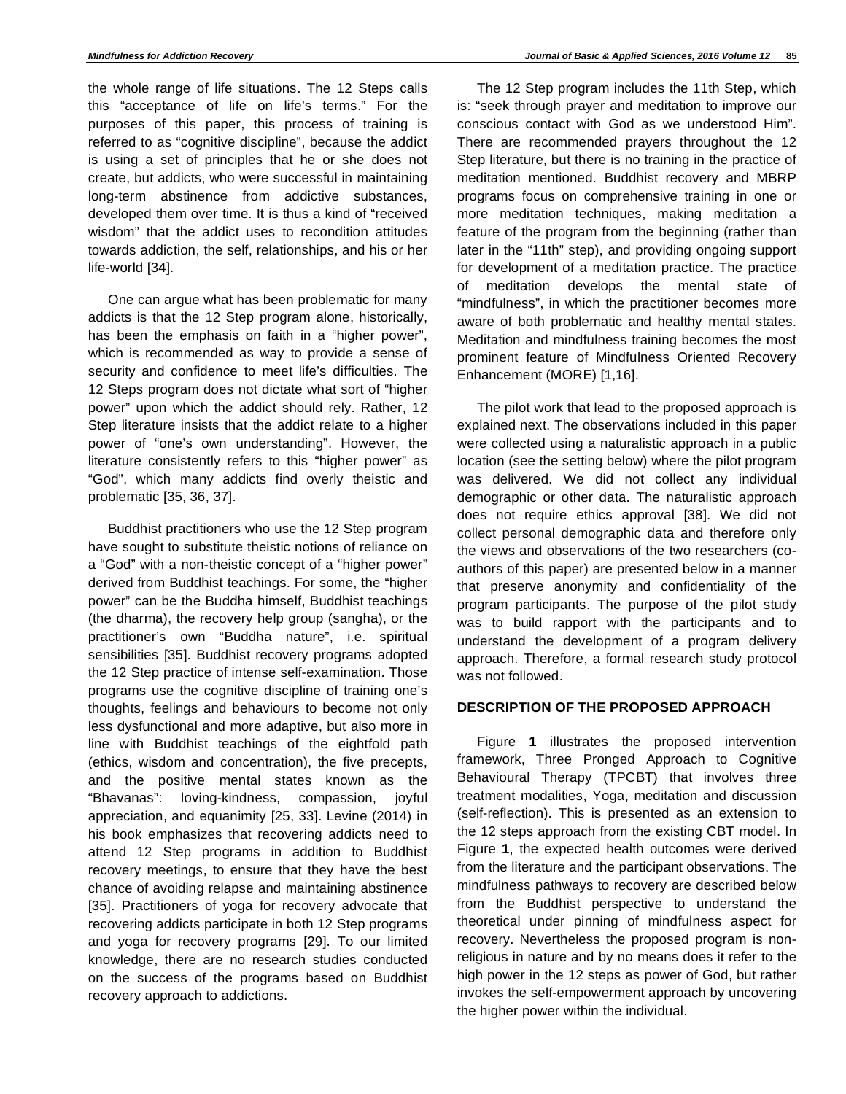the whole range of life situations. The 12 Steps calls this "acceptance of life on life's terms." For the purposes of this paper, this process of training is referred to as "cognitive discipline", because the addict is using a set of principles that he or she does not create, but addicts, who were successful in maintaining long-term abstinence from addictive substances, developed them over time. It is thus a kind of "received wisdom" that the addict uses to recondition attitudes towards addiction, the self, relationships, and his or her life-world [34].

One can argue what has been problematic for many addicts is that the 12 Step program alone, historically, has been the emphasis on faith in a "higher power", which is recommended as way to provide a sense of security and confidence to meet life's difficulties. The 12 Steps program does not dictate what sort of "higher power" upon which the addict should rely. Rather, 12 Step literature insists that the addict relate to a higher power of "one's own understanding". However, the literature consistently refers to this "higher power" as "God", which many addicts find overly theistic and problematic [35, 36, 37].

Buddhist practitioners who use the 12 Step program have sought to substitute theistic notions of reliance on a "God" with a non-theistic concept of a "higher power" derived from Buddhist teachings. For some, the "higher power" can be the Buddha himself, Buddhist teachings (the dharma), the recovery help group (sangha), or the practitioner's own "Buddha nature", i.e. spiritual sensibilities [35]. Buddhist recovery programs adopted the 12 Step practice of intense self-examination. Those programs use the cognitive discipline of training one's thoughts, feelings and behaviours to become not only less dysfunctional and more adaptive, but also more in line with Buddhist teachings of the eightfold path (ethics, wisdom and concentration), the five precepts, and the positive mental states known as the "Bhavanas": loving-kindness, compassion, joyful appreciation, and equanimity [25, 33]. Levine (2014) in his book emphasizes that recovering addicts need to attend 12 Step programs in addition to Buddhist recovery meetings, to ensure that they have the best chance of avoiding relapse and maintaining abstinence [35]. Practitioners of yoga for recovery advocate that recovering addicts participate in both 12 Step programs and yoga for recovery programs [29]. To our limited knowledge, there are no research studies conducted on the success of the programs based on Buddhist recovery approach to addictions.

The 12 Step program includes the 11th Step, which is: "seek through prayer and meditation to improve our conscious contact with God as we understood Him". There are recommended prayers throughout the 12 Step literature, but there is no training in the practice of meditation mentioned. Buddhist recovery and MBRP programs focus on comprehensive training in one or more meditation techniques, making meditation a feature of the program from the beginning (rather than later in the "11th" step), and providing ongoing support for development of a meditation practice. The practice of meditation develops the mental state of "mindfulness", in which the practitioner becomes more aware of both problematic and healthy mental states. Meditation and mindfulness training becomes the most prominent feature of Mindfulness Oriented Recovery Enhancement (MORE) [1,16].

The pilot work that lead to the proposed approach is explained next. The observations included in this paper were collected using a naturalistic approach in a public location (see the setting below) where the pilot program was delivered. We did not collect any individual demographic or other data. The naturalistic approach does not require ethics approval [38]. We did not collect personal demographic data and therefore only the views and observations of the two researchers (coauthors of this paper) are presented below in a manner that preserve anonymity and confidentiality of the program participants. The purpose of the pilot study was to build rapport with the participants and to understand the development of a program delivery approach. Therefore, a formal research study protocol was not followed.

# **DESCRIPTION OF THE PROPOSED APPROACH**

Figure **1** illustrates the proposed intervention framework, Three Pronged Approach to Cognitive Behavioural Therapy (TPCBT) that involves three treatment modalities, Yoga, meditation and discussion (self-reflection). This is presented as an extension to the 12 steps approach from the existing CBT model. In Figure **1**, the expected health outcomes were derived from the literature and the participant observations. The mindfulness pathways to recovery are described below from the Buddhist perspective to understand the theoretical under pinning of mindfulness aspect for recovery. Nevertheless the proposed program is nonreligious in nature and by no means does it refer to the high power in the 12 steps as power of God, but rather invokes the self-empowerment approach by uncovering the higher power within the individual.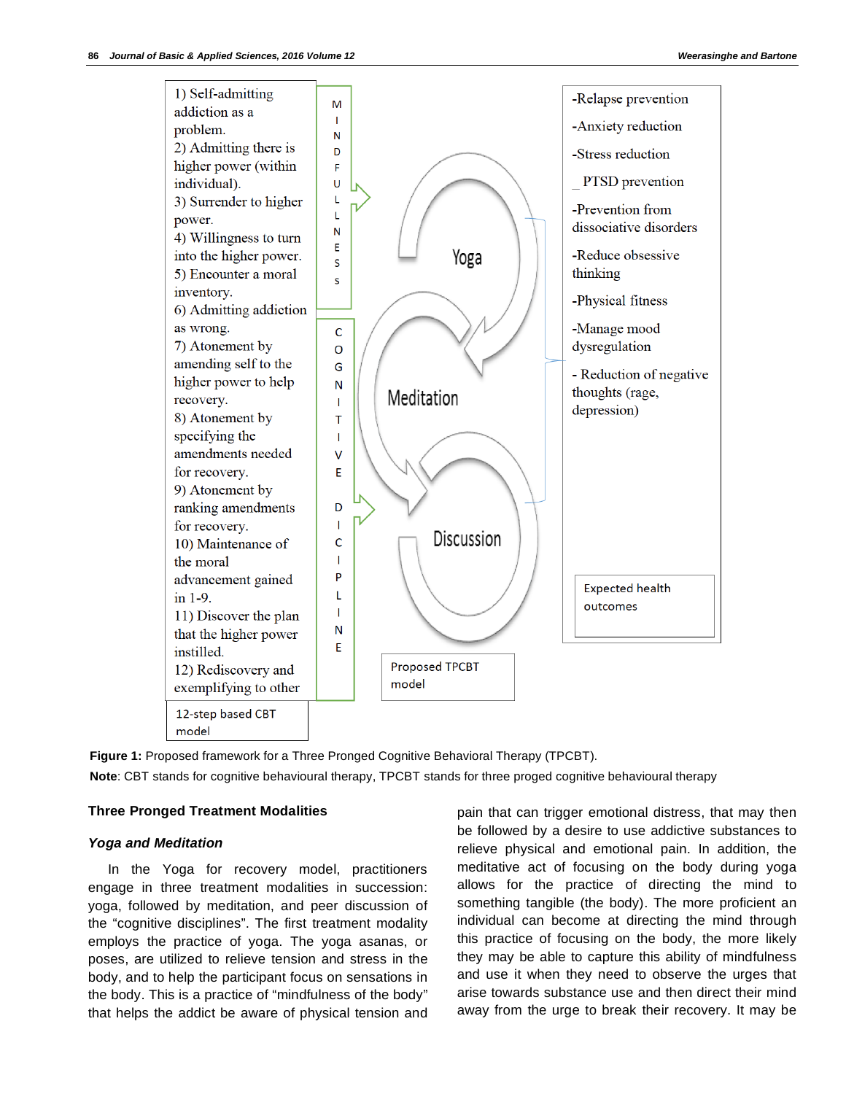

**Figure 1:** Proposed framework for a Three Pronged Cognitive Behavioral Therapy (TPCBT). **Note**: CBT stands for cognitive behavioural therapy, TPCBT stands for three proged cognitive behavioural therapy

#### **Three Pronged Treatment Modalities**

#### *Yoga and Meditation*

In the Yoga for recovery model, practitioners engage in three treatment modalities in succession: yoga, followed by meditation, and peer discussion of the "cognitive disciplines". The first treatment modality employs the practice of yoga. The yoga asanas, or poses, are utilized to relieve tension and stress in the body, and to help the participant focus on sensations in the body. This is a practice of "mindfulness of the body" that helps the addict be aware of physical tension and

pain that can trigger emotional distress, that may then be followed by a desire to use addictive substances to relieve physical and emotional pain. In addition, the meditative act of focusing on the body during yoga allows for the practice of directing the mind to something tangible (the body). The more proficient an individual can become at directing the mind through this practice of focusing on the body, the more likely they may be able to capture this ability of mindfulness and use it when they need to observe the urges that arise towards substance use and then direct their mind away from the urge to break their recovery. It may be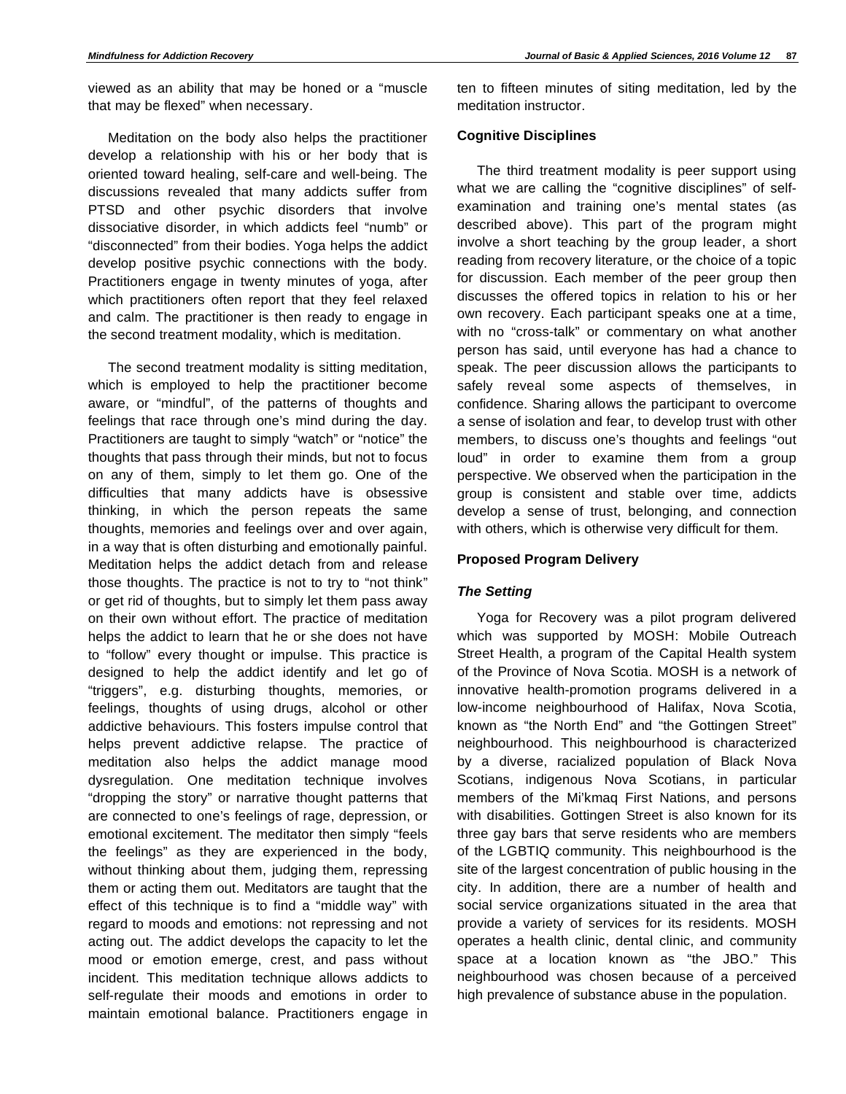viewed as an ability that may be honed or a "muscle that may be flexed" when necessary.

Meditation on the body also helps the practitioner develop a relationship with his or her body that is oriented toward healing, self-care and well-being. The discussions revealed that many addicts suffer from PTSD and other psychic disorders that involve dissociative disorder, in which addicts feel "numb" or "disconnected" from their bodies. Yoga helps the addict develop positive psychic connections with the body. Practitioners engage in twenty minutes of yoga, after which practitioners often report that they feel relaxed and calm. The practitioner is then ready to engage in the second treatment modality, which is meditation.

The second treatment modality is sitting meditation, which is employed to help the practitioner become aware, or "mindful", of the patterns of thoughts and feelings that race through one's mind during the day. Practitioners are taught to simply "watch" or "notice" the thoughts that pass through their minds, but not to focus on any of them, simply to let them go. One of the difficulties that many addicts have is obsessive thinking, in which the person repeats the same thoughts, memories and feelings over and over again, in a way that is often disturbing and emotionally painful. Meditation helps the addict detach from and release those thoughts. The practice is not to try to "not think" or get rid of thoughts, but to simply let them pass away on their own without effort. The practice of meditation helps the addict to learn that he or she does not have to "follow" every thought or impulse. This practice is designed to help the addict identify and let go of "triggers", e.g. disturbing thoughts, memories, or feelings, thoughts of using drugs, alcohol or other addictive behaviours. This fosters impulse control that helps prevent addictive relapse. The practice of meditation also helps the addict manage mood dysregulation. One meditation technique involves "dropping the story" or narrative thought patterns that are connected to one's feelings of rage, depression, or emotional excitement. The meditator then simply "feels the feelings" as they are experienced in the body, without thinking about them, judging them, repressing them or acting them out. Meditators are taught that the effect of this technique is to find a "middle way" with regard to moods and emotions: not repressing and not acting out. The addict develops the capacity to let the mood or emotion emerge, crest, and pass without incident. This meditation technique allows addicts to self-regulate their moods and emotions in order to maintain emotional balance. Practitioners engage in

ten to fifteen minutes of siting meditation, led by the meditation instructor.

## **Cognitive Disciplines**

The third treatment modality is peer support using what we are calling the "cognitive disciplines" of selfexamination and training one's mental states (as described above). This part of the program might involve a short teaching by the group leader, a short reading from recovery literature, or the choice of a topic for discussion. Each member of the peer group then discusses the offered topics in relation to his or her own recovery. Each participant speaks one at a time, with no "cross-talk" or commentary on what another person has said, until everyone has had a chance to speak. The peer discussion allows the participants to safely reveal some aspects of themselves, in confidence. Sharing allows the participant to overcome a sense of isolation and fear, to develop trust with other members, to discuss one's thoughts and feelings "out loud" in order to examine them from a group perspective. We observed when the participation in the group is consistent and stable over time, addicts develop a sense of trust, belonging, and connection with others, which is otherwise very difficult for them.

# **Proposed Program Delivery**

## *The Setting*

Yoga for Recovery was a pilot program delivered which was supported by MOSH: Mobile Outreach Street Health, a program of the Capital Health system of the Province of Nova Scotia. MOSH is a network of innovative health-promotion programs delivered in a low-income neighbourhood of Halifax, Nova Scotia, known as "the North End" and "the Gottingen Street" neighbourhood. This neighbourhood is characterized by a diverse, racialized population of Black Nova Scotians, indigenous Nova Scotians, in particular members of the Mi'kmaq First Nations, and persons with disabilities. Gottingen Street is also known for its three gay bars that serve residents who are members of the LGBTIQ community. This neighbourhood is the site of the largest concentration of public housing in the city. In addition, there are a number of health and social service organizations situated in the area that provide a variety of services for its residents. MOSH operates a health clinic, dental clinic, and community space at a location known as "the JBO." This neighbourhood was chosen because of a perceived high prevalence of substance abuse in the population.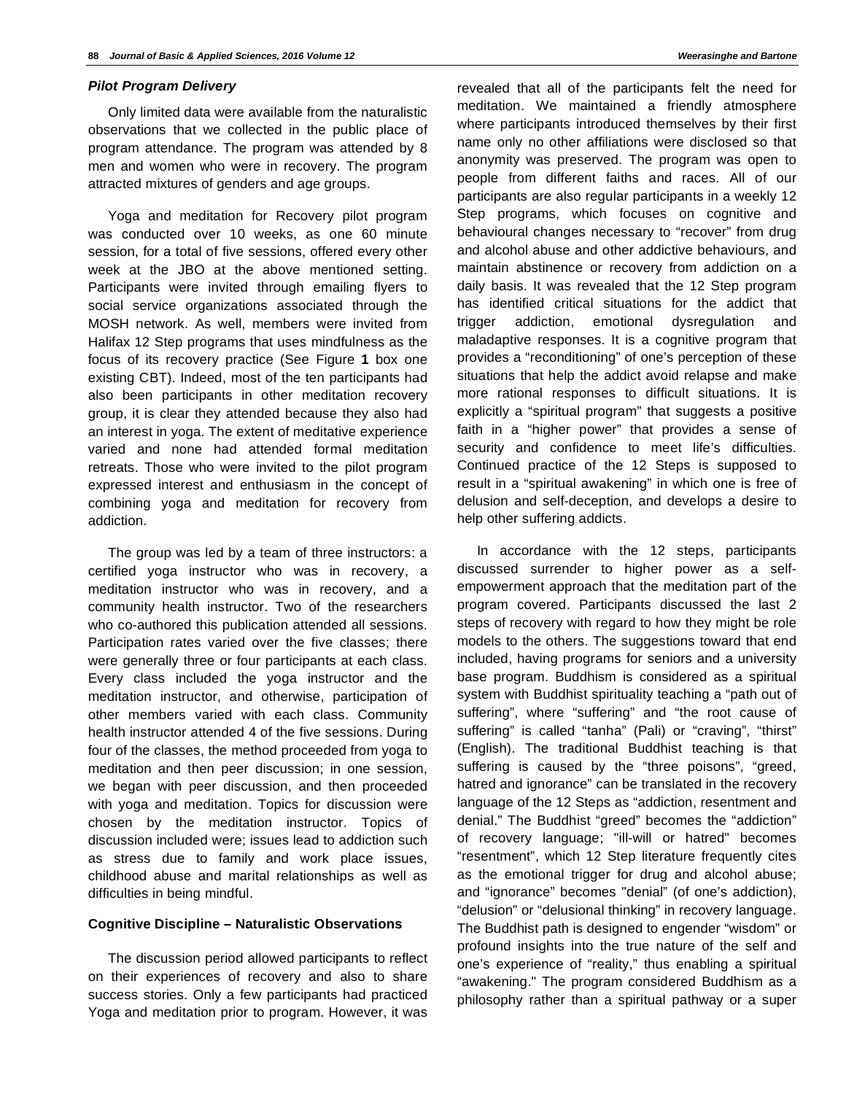#### *Pilot Program Delivery*

Only limited data were available from the naturalistic observations that we collected in the public place of program attendance. The program was attended by 8 men and women who were in recovery. The program attracted mixtures of genders and age groups.

Yoga and meditation for Recovery pilot program was conducted over 10 weeks, as one 60 minute session, for a total of five sessions, offered every other week at the JBO at the above mentioned setting. Participants were invited through emailing flyers to social service organizations associated through the MOSH network. As well, members were invited from Halifax 12 Step programs that uses mindfulness as the focus of its recovery practice (See Figure **1** box one existing CBT). Indeed, most of the ten participants had also been participants in other meditation recovery group, it is clear they attended because they also had an interest in yoga. The extent of meditative experience varied and none had attended formal meditation retreats. Those who were invited to the pilot program expressed interest and enthusiasm in the concept of combining yoga and meditation for recovery from addiction.

The group was led by a team of three instructors: a certified yoga instructor who was in recovery, a meditation instructor who was in recovery, and a community health instructor. Two of the researchers who co-authored this publication attended all sessions. Participation rates varied over the five classes; there were generally three or four participants at each class. Every class included the yoga instructor and the meditation instructor, and otherwise, participation of other members varied with each class. Community health instructor attended 4 of the five sessions. During four of the classes, the method proceeded from yoga to meditation and then peer discussion; in one session, we began with peer discussion, and then proceeded with yoga and meditation. Topics for discussion were chosen by the meditation instructor. Topics of discussion included were; issues lead to addiction such as stress due to family and work place issues, childhood abuse and marital relationships as well as difficulties in being mindful.

#### **Cognitive Discipline – Naturalistic Observations**

The discussion period allowed participants to reflect on their experiences of recovery and also to share success stories. Only a few participants had practiced Yoga and meditation prior to program. However, it was

revealed that all of the participants felt the need for meditation. We maintained a friendly atmosphere where participants introduced themselves by their first name only no other affiliations were disclosed so that anonymity was preserved. The program was open to people from different faiths and races. All of our participants are also regular participants in a weekly 12 Step programs, which focuses on cognitive and behavioural changes necessary to "recover" from drug and alcohol abuse and other addictive behaviours, and maintain abstinence or recovery from addiction on a daily basis. It was revealed that the 12 Step program has identified critical situations for the addict that trigger addiction, emotional dysregulation and maladaptive responses. It is a cognitive program that provides a "reconditioning" of one's perception of these situations that help the addict avoid relapse and make more rational responses to difficult situations. It is explicitly a "spiritual program" that suggests a positive faith in a "higher power" that provides a sense of security and confidence to meet life's difficulties. Continued practice of the 12 Steps is supposed to result in a "spiritual awakening" in which one is free of delusion and self-deception, and develops a desire to help other suffering addicts.

In accordance with the 12 steps, participants discussed surrender to higher power as a selfempowerment approach that the meditation part of the program covered. Participants discussed the last 2 steps of recovery with regard to how they might be role models to the others. The suggestions toward that end included, having programs for seniors and a university base program. Buddhism is considered as a spiritual system with Buddhist spirituality teaching a "path out of suffering", where "suffering" and "the root cause of suffering" is called "tanha" (Pali) or "craving", "thirst" (English). The traditional Buddhist teaching is that suffering is caused by the "three poisons", "greed, hatred and ignorance" can be translated in the recovery language of the 12 Steps as "addiction, resentment and denial." The Buddhist "greed" becomes the "addiction" of recovery language; "ill-will or hatred" becomes "resentment", which 12 Step literature frequently cites as the emotional trigger for drug and alcohol abuse; and "ignorance" becomes "denial" (of one's addiction), "delusion" or "delusional thinking" in recovery language. The Buddhist path is designed to engender "wisdom" or profound insights into the true nature of the self and one's experience of "reality," thus enabling a spiritual "awakening." The program considered Buddhism as a philosophy rather than a spiritual pathway or a super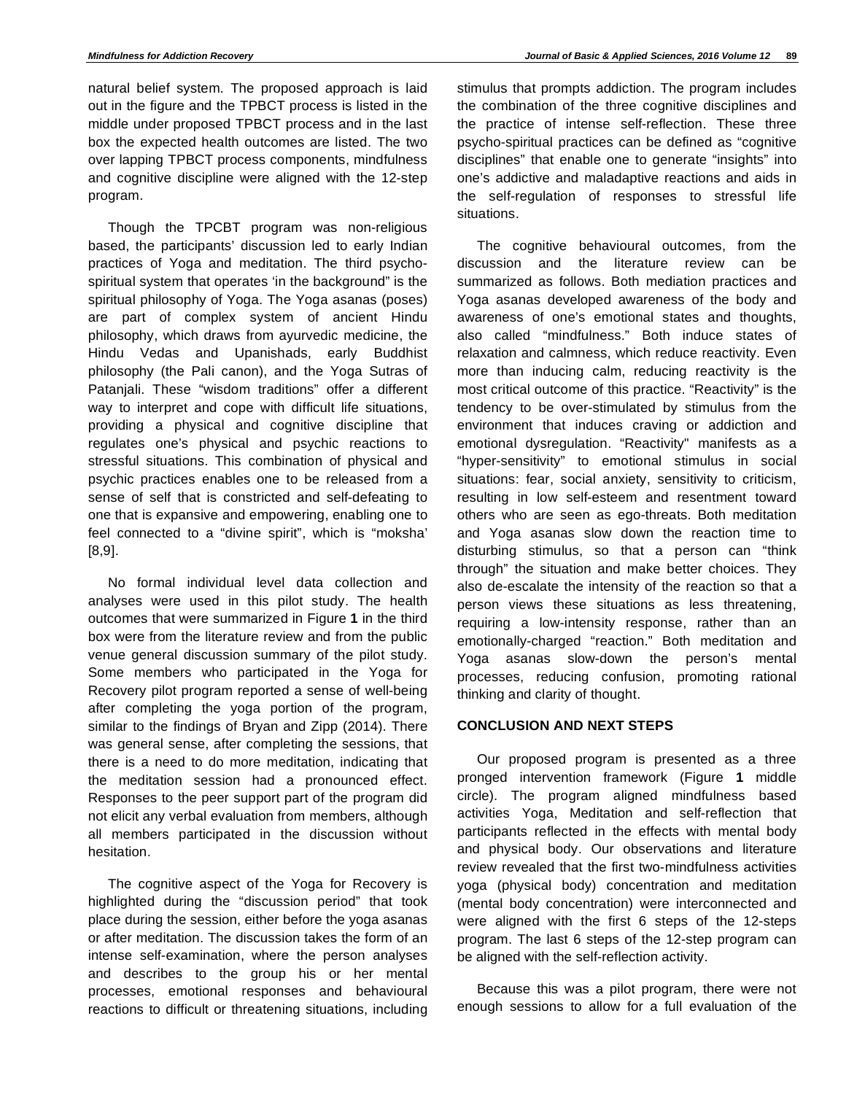natural belief system. The proposed approach is laid out in the figure and the TPBCT process is listed in the middle under proposed TPBCT process and in the last box the expected health outcomes are listed. The two over lapping TPBCT process components, mindfulness and cognitive discipline were aligned with the 12-step program.

Though the TPCBT program was non-religious based, the participants' discussion led to early Indian practices of Yoga and meditation. The third psychospiritual system that operates 'in the background" is the spiritual philosophy of Yoga. The Yoga asanas (poses) are part of complex system of ancient Hindu philosophy, which draws from ayurvedic medicine, the Hindu Vedas and Upanishads, early Buddhist philosophy (the Pali canon), and the Yoga Sutras of Patanjali. These "wisdom traditions" offer a different way to interpret and cope with difficult life situations, providing a physical and cognitive discipline that regulates one's physical and psychic reactions to stressful situations. This combination of physical and psychic practices enables one to be released from a sense of self that is constricted and self-defeating to one that is expansive and empowering, enabling one to feel connected to a "divine spirit", which is "moksha' [8,9].

No formal individual level data collection and analyses were used in this pilot study. The health outcomes that were summarized in Figure **1** in the third box were from the literature review and from the public venue general discussion summary of the pilot study. Some members who participated in the Yoga for Recovery pilot program reported a sense of well-being after completing the yoga portion of the program, similar to the findings of Bryan and Zipp (2014). There was general sense, after completing the sessions, that there is a need to do more meditation, indicating that the meditation session had a pronounced effect. Responses to the peer support part of the program did not elicit any verbal evaluation from members, although all members participated in the discussion without hesitation.

The cognitive aspect of the Yoga for Recovery is highlighted during the "discussion period" that took place during the session, either before the yoga asanas or after meditation. The discussion takes the form of an intense self-examination, where the person analyses and describes to the group his or her mental processes, emotional responses and behavioural reactions to difficult or threatening situations, including

stimulus that prompts addiction. The program includes the combination of the three cognitive disciplines and the practice of intense self-reflection. These three psycho-spiritual practices can be defined as "cognitive disciplines" that enable one to generate "insights" into one's addictive and maladaptive reactions and aids in the self-regulation of responses to stressful life situations.

The cognitive behavioural outcomes, from the discussion and the literature review can be summarized as follows. Both mediation practices and Yoga asanas developed awareness of the body and awareness of one's emotional states and thoughts, also called "mindfulness." Both induce states of relaxation and calmness, which reduce reactivity. Even more than inducing calm, reducing reactivity is the most critical outcome of this practice. "Reactivity" is the tendency to be over-stimulated by stimulus from the environment that induces craving or addiction and emotional dysregulation. "Reactivity" manifests as a "hyper-sensitivity" to emotional stimulus in social situations: fear, social anxiety, sensitivity to criticism, resulting in low self-esteem and resentment toward others who are seen as ego-threats. Both meditation and Yoga asanas slow down the reaction time to disturbing stimulus, so that a person can "think through" the situation and make better choices. They also de-escalate the intensity of the reaction so that a person views these situations as less threatening, requiring a low-intensity response, rather than an emotionally-charged "reaction." Both meditation and Yoga asanas slow-down the person's mental processes, reducing confusion, promoting rational thinking and clarity of thought.

# **CONCLUSION AND NEXT STEPS**

Our proposed program is presented as a three pronged intervention framework (Figure **1** middle circle). The program aligned mindfulness based activities Yoga, Meditation and self-reflection that participants reflected in the effects with mental body and physical body. Our observations and literature review revealed that the first two-mindfulness activities yoga (physical body) concentration and meditation (mental body concentration) were interconnected and were aligned with the first 6 steps of the 12-steps program. The last 6 steps of the 12-step program can be aligned with the self-reflection activity.

Because this was a pilot program, there were not enough sessions to allow for a full evaluation of the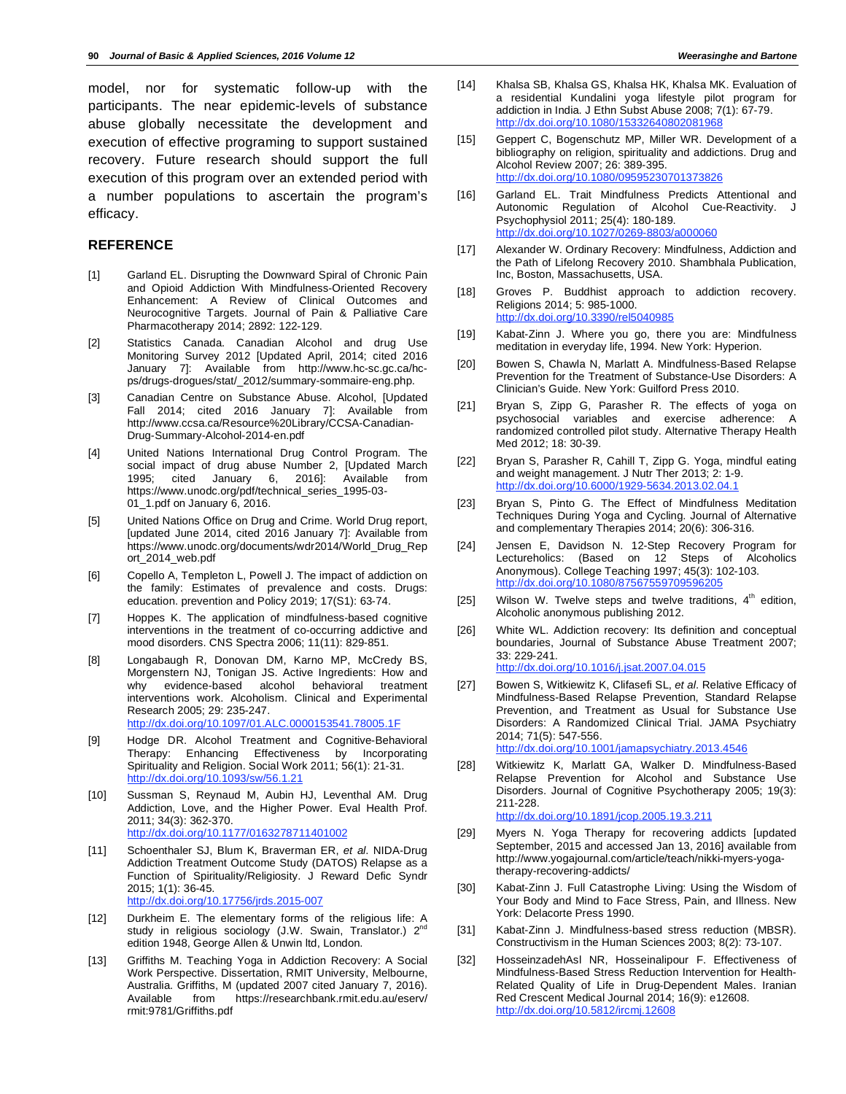model, nor for systematic follow-up with the participants. The near epidemic-levels of substance abuse globally necessitate the development and execution of effective programing to support sustained recovery. Future research should support the full execution of this program over an extended period with a number populations to ascertain the program's efficacy.

### **REFERENCE**

- [1] Garland EL. Disrupting the Downward Spiral of Chronic Pain and Opioid Addiction With Mindfulness-Oriented Recovery Enhancement: A Review of Clinical Outcomes and Neurocognitive Targets. Journal of Pain & Palliative Care Pharmacotherapy 2014; 2892: 122-129.
- [2] Statistics Canada. Canadian Alcohol and drug Use Monitoring Survey 2012 [Updated April, 2014; cited 2016 January 7]: Available from http://www.hc-sc.gc.ca/hcps/drugs-drogues/stat/\_2012/summary-sommaire-eng.php.
- [3] Canadian Centre on Substance Abuse. Alcohol, [Updated Fall 2014; cited 2016 January 7]: Available from http://www.ccsa.ca/Resource%20Library/CCSA-Canadian-Drug-Summary-Alcohol-2014-en.pdf
- [4] United Nations International Drug Control Program. The social impact of drug abuse Number 2, [Updated March 1995; cited January 6, 2016]: Available from https://www.unodc.org/pdf/technical\_series\_1995-03- 01\_1.pdf on January 6, 2016.
- [5] United Nations Office on Drug and Crime. World Drug report, [updated June 2014, cited 2016 January 7]: Available from https://www.unodc.org/documents/wdr2014/World\_Drug\_Rep ort\_2014\_web.pdf
- [6] Copello A, Templeton L, Powell J. The impact of addiction on the family: Estimates of prevalence and costs. Drugs: education. prevention and Policy 2019; 17(S1): 63-74.
- [7] Hoppes K. The application of mindfulness-based cognitive interventions in the treatment of co-occurring addictive and mood disorders. CNS Spectra 2006; 11(11): 829-851.
- [8] Longabaugh R, Donovan DM, Karno MP, McCredy BS, Morgenstern NJ, Tonigan JS. Active Ingredients: How and why evidence-based alcohol behavioral treatment interventions work. Alcoholism. Clinical and Experimental Research 2005; 29: 235-247. http://dx.doi.org/10.1097/01.ALC.0000153541.78005.1F
- [9] Hodge DR. Alcohol Treatment and Cognitive-Behavioral Therapy: Enhancing Effectiveness by Incorporating Spirituality and Religion. Social Work 2011; 56(1): 21-31. http://dx.doi.org/10.1093/sw/56.1.21
- [10] Sussman S, Reynaud M, Aubin HJ, Leventhal AM. Drug Addiction, Love, and the Higher Power. Eval Health Prof. 2011; 34(3): 362-370. http://dx.doi.org/10.1177/0163278711401002
- [11] Schoenthaler SJ, Blum K, Braverman ER, *et al*. NIDA-Drug Addiction Treatment Outcome Study (DATOS) Relapse as a Function of Spirituality/Religiosity. J Reward Defic Syndr 2015; 1(1): 36-45. http://dx.doi.org/10.17756/jrds.2015-007
- [12] Durkheim E. The elementary forms of the religious life: A study in religious sociology (J.W. Swain, Translator.) 2<sup>nd</sup> edition 1948, George Allen & Unwin ltd, London.
- [13] Griffiths M. Teaching Yoga in Addiction Recovery: A Social Work Perspective. Dissertation, RMIT University, Melbourne, Australia. Griffiths, M (updated 2007 cited January 7, 2016). Available from https://researchbank.rmit.edu.au/eserv/ rmit:9781/Griffiths.pdf
- [14] Khalsa SB, Khalsa GS, Khalsa HK, Khalsa MK. Evaluation of a residential Kundalini yoga lifestyle pilot program for addiction in India. J Ethn Subst Abuse 2008; 7(1): 67-79. http://dx.doi.org/10.1080/15332640802081968
- [15] Geppert C, Bogenschutz MP, Miller WR. Development of a bibliography on religion, spirituality and addictions. Drug and Alcohol Review 2007; 26: 389-395. http://dx.doi.org/10.1080/09595230701373826
- [16] Garland EL. Trait Mindfulness Predicts Attentional and Autonomic Regulation of Alcohol Cue-Reactivity. J Psychophysiol 2011; 25(4): 180-189. http://dx.doi.org/10.1027/0269-8803/a000060
- [17] Alexander W. Ordinary Recovery: Mindfulness, Addiction and the Path of Lifelong Recovery 2010. Shambhala Publication, Inc, Boston, Massachusetts, USA.
- [18] Groves P. Buddhist approach to addiction recovery. Religions 2014; 5: 985-1000. http://dx.doi.org/10.3390/rel5040985
- [19] Kabat-Zinn J. Where you go, there you are: Mindfulness meditation in everyday life, 1994. New York: Hyperion.
- [20] Bowen S, Chawla N, Marlatt A. Mindfulness-Based Relapse Prevention for the Treatment of Substance-Use Disorders: A Clinician's Guide. New York: Guilford Press 2010.
- [21] Bryan S, Zipp G, Parasher R. The effects of yoga on psychosocial variables and exercise adherence: A randomized controlled pilot study. Alternative Therapy Health Med 2012; 18: 30-39.
- [22] Bryan S, Parasher R, Cahill T, Zipp G. Yoga, mindful eating and weight management. J Nutr Ther 2013; 2: 1-9. http://dx.doi.org/10.6000/1929-5634.2013.02.04.1
- [23] Bryan S, Pinto G. The Effect of Mindfulness Meditation Techniques During Yoga and Cycling. Journal of Alternative and complementary Therapies 2014; 20(6): 306-316.
- [24] Jensen E, Davidson N. 12-Step Recovery Program for Lectureholics: (Based on 12 Steps of Alcoholics Anonymous). College Teaching 1997; 45(3): 102-103. http://dx.doi.org/10.1080/8756755970959
- [25] Wilson W. Twelve steps and twelve traditions,  $4<sup>th</sup>$  edition, Alcoholic anonymous publishing 2012.
- [26] White WL. Addiction recovery: Its definition and conceptual boundaries, Journal of Substance Abuse Treatment 2007; 33: 229-241. http://dx.doi.org/10.1016/j.jsat.2007.04.015
- [27] Bowen S, Witkiewitz K, Clifasefi SL, *et al*. Relative Efficacy of Mindfulness-Based Relapse Prevention, Standard Relapse Prevention, and Treatment as Usual for Substance Use Disorders: A Randomized Clinical Trial. JAMA Psychiatry 2014; 71(5): 547-556. http://dx.doi.org/10.1001/jamapsychiatry.2013.4546
- [28] Witkiewitz K, Marlatt GA, Walker D. Mindfulness-Based Relapse Prevention for Alcohol and Substance Use Disorders. Journal of Cognitive Psychotherapy 2005; 19(3): 211-228. http://dx.doi.org/10.1891/jcop.2005.19.3.211
- [29] Myers N. Yoga Therapy for recovering addicts [updated September, 2015 and accessed Jan 13, 2016] available from http://www.yogajournal.com/article/teach/nikki-myers-yogatherapy-recovering-addicts/
- [30] Kabat-Zinn J. Full Catastrophe Living: Using the Wisdom of Your Body and Mind to Face Stress, Pain, and Illness. New York: Delacorte Press 1990.
- [31] Kabat-Zinn J. Mindfulness-based stress reduction (MBSR). Constructivism in the Human Sciences 2003; 8(2): 73-107.
- [32] HosseinzadehAsl NR, Hosseinalipour F. Effectiveness of Mindfulness-Based Stress Reduction Intervention for Health-Related Quality of Life in Drug-Dependent Males. Iranian Red Crescent Medical Journal 2014; 16(9): e12608. http://dx.doi.org/10.5812/ircmj.12608